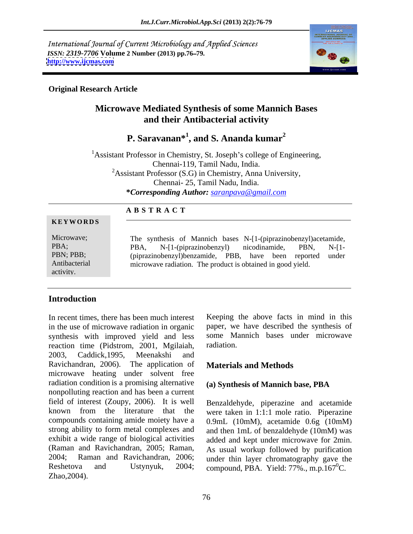International Journal of Current Microbiology and Applied Sciences *ISSN: 2319-7706* **Volume 2 Number (2013) pp.76 79. <http://www.ijcmas.com>**



#### **Original Research Article**

# **Microwave Mediated Synthesis of some Mannich Bases and their Antibacterial activity**

**P. Saravanan\* 1 , and S. Ananda kumar<sup>2</sup>**

<sup>1</sup> Assistant Professor in Chemistry, St. Joseph's college of Engineering, Chennai-119, Tamil Nadu, India. <sup>2</sup>Assistant Professor (S.G) in Chemistry, Anna University, Chennai- 25, Tamil Nadu, India. **\****Corresponding Author: saranpava@gmail.com*

#### **A B S T R A C T**

#### **KEYWORDS Example 2 CONS EXAMPLE 2 CONS EXAMPLE 2 CONS EXAMPLE 2 CONS**

Microwave; The synthesis of Mannich bases N-[1-(piprazinobenzyl)acetamide, PBA; PBA, N-[1-(piprazinobenzyl) nicodinamide, PBN, N-[1-PBN; PBB; (piprazinobenzyl)benzamide, PBB, have been reported under Antibacterial microwave radiation. The product is obtained in good yield.activity. PBA, N-[1-(piprazinobenzyl) nicodinamide, PBN, N-[1-

# **Introduction**

In recent times, there has been much interest Keeping the above facts in mind in this in the use of microwave radiation in organic paper, we have described the synthesis of synthesis with improved yield and less some Manuscript Mediation. reaction time (Pidstrom, 2001, Mgilaiah, 2003, Caddick,1995, Meenakshi and Ravichandran, 2006). The application of **Materials and Methods** microwave heating under solvent free radiation condition is a promising alternative (a) Synthesis of Mannich base, PBA nonpolluting reaction and has been a current field of interest (Zoupy, 2006). It is well Benzaldehyde, piperazine and acetamide known from the literature that the were taken in 1:1:1 mole ratio. Piperazine compounds containing amide moiety have a 0.9mL (10mM), acetamide 0.6g (10mM) strong ability to form metal complexes and and then 1mL of benzaldehyde (10mM) was exhibit a wide range of biological activities added and kept under microwave for 2min. (Raman and Ravichandran, 2005; Raman, As usual workup followed by purification 2004; Raman and Ravichandran, 2006; under thin layer chromatography gave the Reshetova and Ustynyuk, 2004; compound, PBA. Yield: 77%., m.p.167<sup>0</sup>C.  $Zhao,2004$ ).

some Mannich bases under microwave radiation.

# **Materials and Methods**

### **(a) Synthesis of Mannich base, PBA**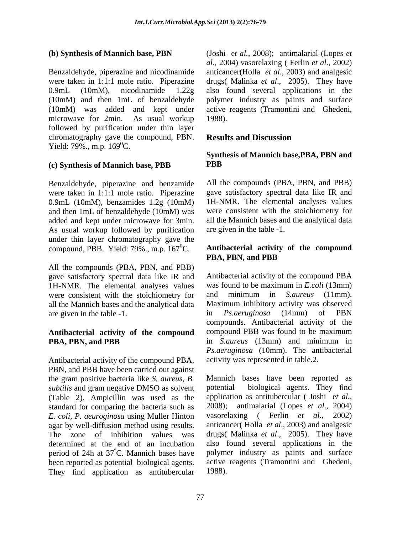Benzaldehyde, piperazine and nicodinamide anticancer(Holla *et al*., 2003) and analgesic were taken in 1:1:1 mole ratio. Piperazine drugs( Malinka *et al*., 2005). They have 0.9mL (10mM), nicodinamide 1.22g also found several applications in the (10mM) and then 1mL of benzaldehyde polymer industry as paints and surface (10mM) was added and kept under active reagents (Tramontini and Ghedeni, microwave for 2min. As usual workup 1988). followed by purification under thin layer chromatography gave the compound, PBN. Results and Discussion Yield:  $79\%$ ., m.p.  $169\%$ C.

### **(c) Synthesis of Mannich base, PBB**

Benzaldehyde, piperazine and benzamide All the compounds (PBA, PBN, and PBB) were taken in 1:1:1 mole ratio. Piperazine 0.9mL (10mM), benzamides 1.2g (10mM) and then 1mL of benzaldehyde (10mM) was added and kept under microwave for 3min. As usual workup followed by purification under thin layer chromatography gave the compound, PBB. Yield: 79%., m.p. 1670C. **Antibacterial activity of the compound**

All the compounds (PBA, PBN, and PBB) gave satisfactory spectral data like IR and 1H-NMR. The elemental analyses values was found to be maximum in *E.coli* (13mm) were consistent with the stoichiometry for and minimum in *S. aureus* (11mm). were consistent with the stoichiometry for and all the Mannich bases and the analytical data are given in the table -1. <br>in *Ps.aeruginosa* (14mm) of PBN

# **Antibacterial activity of the compound**

Antibacterial activity of the compound PBA, PBN, and PBB have been carried out against the gram positive bacteria like *S. aureus, B.* Mannich bases have been reported as *subtilis* and gram negative DMSO as solvent potential (Table 2). Ampicillin was used as the standard for comparing the bacteria such as 2008); antir *E. coli. P. aeuroginosa* using Muller Hinton vasorelaxing *E. coli, P. aeuroginosa* using Muller Hinton agar by well-diffusion method using results. The zone of inhibition values was drugs( Malinka *et al*., 2005). They have determined at the end of an incubation period of 24h at 37 °C. Mannich bases have polymer industry as paints and surface been reported as potential biological agents. active reagents (Tramontini and Ghedeni, They find application as antitubercular 1988).

**(b) Synthesis of Mannich base, PBN** (Joshi e*t al.,* 2008); antimalarial (Lopes *et al*., 2004) vasorelaxing ( Ferlin *et al*., 2002) active reagents (Tramontini and Ghedeni, 1988).

## **Results and Discussion**

#### **Synthesis of Mannich base,PBA, PBN and PBB**

All the compounds (PBA, PBN, and PBB) gave satisfactory spectral data like IR and 1H-NMR. The elemental analyses values were consistent with the stoichiometry for all the Mannich bases and the analytical data are given in the table -1.

# **PBA, PBN, and PBB**

**PBA, PBN, and PBB** in *S.aureus* (13mm) and minimum in Antibacterial activity of the compound PBA was found to be maximum in *E.coli* (13mm) and minimum in *S.aureus* (11mm). Maximum inhibitory activity was observed in *Ps.aeruginosa* (14mm) of PBN compounds. Antibacterial activity of the compound PBB was found to be maximum *Ps.aeruginosa* (10mm). The antibacterial activity was represented in table.2.

> biological agents. They find application as antitubercular ( Joshi e*t al.,* 2008); antimalarial (Lopes *et al*., 2004) (Ferlin *et al.*, 2002) anticancer( Holla *et al*., 2003) and analgesic also found several applications in the active reagents (Tramontini and Ghedeni, 1988).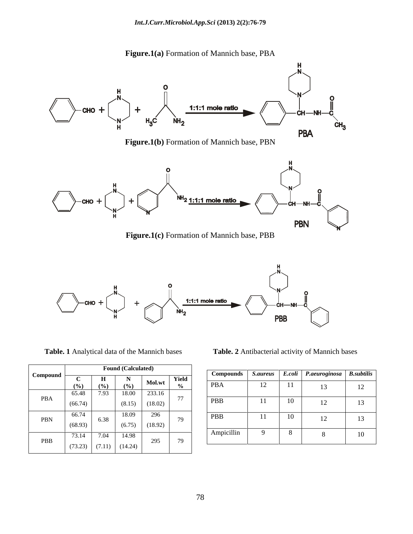

**Figure.1(a)** Formation of Mannich base, PBA





|            |         |        | <b>Found (Calculated)</b> |         |               |                  |                 |        |               |                   |
|------------|---------|--------|---------------------------|---------|---------------|------------------|-----------------|--------|---------------|-------------------|
| Compound   |         |        |                           |         |               | <b>Compounds</b> | <i>S.aureus</i> | E.coli | P.aeuroginosa | <b>B.subtilis</b> |
|            | ◡       | Н      | N                         |         | Yield         |                  |                 |        |               |                   |
|            | (%)     | (9/0)  | (%)                       | Mol.wt  | $\frac{0}{0}$ | <b>PBA</b>       | 14              |        | 13            | 12                |
|            | 65.48   | 7.93   | 18.00                     | 233.16  |               |                  |                 |        |               |                   |
| <b>PBA</b> | (66.74) |        | (8.15)                    | (18.02) | 77            | PBB              |                 | 10     | 12<br>⊥∠      | 13                |
|            | 66.74   |        | 18.09                     | 296     |               | PBB              |                 | 10     | 12            | 13                |
| PBN        | (68.93) | 6.38   | (6.75)                    | (18.92) | 79            |                  |                 |        | - ∠           |                   |
| PBB        | 73.14   | 7.04   | 14.98                     | 295     | 79            | Ampicillin       |                 | 8      |               | 10                |
|            | (73.23) | (7.11) | (14.24)                   |         |               |                  |                 |        |               |                   |

**Table. 1** Analytical data of the Mannich bases **Table. 2** Antibacterial activity of Mannich bases

|          |                                | <b>Found (Calculated)</b>       |       |             |     |                                                              |  |
|----------|--------------------------------|---------------------------------|-------|-------------|-----|--------------------------------------------------------------|--|
| Combound |                                |                                 | Yield | l Compounds |     | $\text{ls}$   S.aureus   E.coli   P.aeuroginosa   B.subtilis |  |
|          | . 10A                          |                                 |       |             |     |                                                              |  |
|          | 05.48                          | 18.00                           |       |             |     |                                                              |  |
| PBA      | (66.74)                        | (0.13)                          |       | --          |     |                                                              |  |
|          |                                | 18.09<br>nne                    |       |             |     |                                                              |  |
| PBN      | . n. s                         |                                 |       |             | 1 T |                                                              |  |
|          | (68.93)                        | (18.92)                         |       |             |     |                                                              |  |
|          | 72 1.<br>$1.3.1 +$             | 7.04   14.98<br>00 <sup>2</sup> |       | Ampicilin.  |     |                                                              |  |
| PBB      | and the company of the company |                                 |       |             |     |                                                              |  |